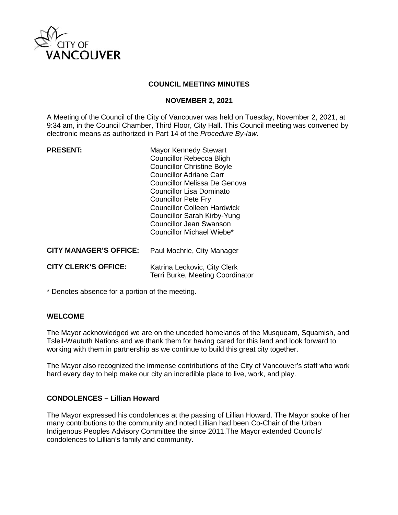

#### **COUNCIL MEETING MINUTES**

#### **NOVEMBER 2, 2021**

A Meeting of the Council of the City of Vancouver was held on Tuesday, November 2, 2021, at 9:34 am, in the Council Chamber, Third Floor, City Hall. This Council meeting was convened by electronic means as authorized in Part 14 of the *Procedure By-law*.

| <b>PRESENT:</b>               | Mayor Kennedy Stewart<br><b>Councillor Rebecca Bligh</b><br><b>Councillor Christine Boyle</b><br><b>Councillor Adriane Carr</b><br>Councillor Melissa De Genova<br>Councillor Lisa Dominato<br><b>Councillor Pete Fry</b><br><b>Councillor Colleen Hardwick</b><br>Councillor Sarah Kirby-Yung<br><b>Councillor Jean Swanson</b><br>Councillor Michael Wiebe* |
|-------------------------------|---------------------------------------------------------------------------------------------------------------------------------------------------------------------------------------------------------------------------------------------------------------------------------------------------------------------------------------------------------------|
| <b>CITY MANAGER'S OFFICE:</b> | Paul Mochrie, City Manager                                                                                                                                                                                                                                                                                                                                    |
| <b>CITY CLERK'S OFFICE:</b>   | Katrina Leckovic, City Clerk<br>Terri Burke, Meeting Coordinator                                                                                                                                                                                                                                                                                              |

\* Denotes absence for a portion of the meeting.

#### **WELCOME**

The Mayor acknowledged we are on the unceded homelands of the Musqueam, Squamish, and Tsleil-Waututh Nations and we thank them for having cared for this land and look forward to working with them in partnership as we continue to build this great city together.

The Mayor also recognized the immense contributions of the City of Vancouver's staff who work hard every day to help make our city an incredible place to live, work, and play.

#### **CONDOLENCES – Lillian Howard**

The Mayor expressed his condolences at the passing of Lillian Howard. The Mayor spoke of her many contributions to the community and noted Lillian had been Co-Chair of the Urban Indigenous Peoples Advisory Committee the since 2011.The Mayor extended Councils' condolences to Lillian's family and community.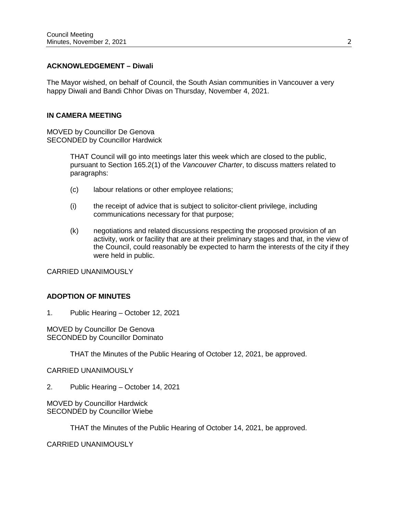#### **ACKNOWLEDGEMENT – Diwali**

The Mayor wished, on behalf of Council, the South Asian communities in Vancouver a very happy Diwali and Bandi Chhor Divas on Thursday, November 4, 2021.

#### **IN CAMERA MEETING**

MOVED by Councillor De Genova SECONDED by Councillor Hardwick

> THAT Council will go into meetings later this week which are closed to the public, pursuant to Section 165.2(1) of the *Vancouver Charter*, to discuss matters related to paragraphs:

- (c) labour relations or other employee relations;
- (i) the receipt of advice that is subject to solicitor-client privilege, including communications necessary for that purpose;
- (k) negotiations and related discussions respecting the proposed provision of an activity, work or facility that are at their preliminary stages and that, in the view of the Council, could reasonably be expected to harm the interests of the city if they were held in public.

CARRIED UNANIMOUSLY

# **ADOPTION OF MINUTES**

1. Public Hearing – October 12, 2021

MOVED by Councillor De Genova SECONDED by Councillor Dominato

THAT the Minutes of the Public Hearing of October 12, 2021, be approved.

#### CARRIED UNANIMOUSLY

2. Public Hearing – October 14, 2021

MOVED by Councillor Hardwick SECONDED by Councillor Wiebe

THAT the Minutes of the Public Hearing of October 14, 2021, be approved.

CARRIED UNANIMOUSLY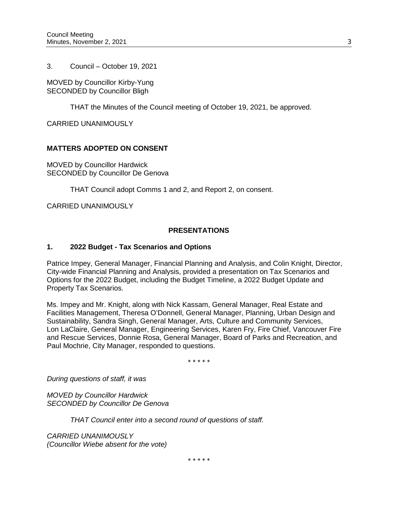3. Council – October 19, 2021

MOVED by Councillor Kirby-Yung SECONDED by Councillor Bligh

THAT the Minutes of the Council meeting of October 19, 2021, be approved.

CARRIED UNANIMOUSLY

# **MATTERS ADOPTED ON CONSENT**

MOVED by Councillor Hardwick SECONDED by Councillor De Genova

THAT Council adopt Comms 1 and 2, and Report 2, on consent.

CARRIED UNANIMOUSLY

# **PRESENTATIONS**

### **1. 2022 Budget - Tax Scenarios and Options**

Patrice Impey, General Manager, Financial Planning and Analysis, and Colin Knight, Director, City-wide Financial Planning and Analysis, provided a presentation on Tax Scenarios and Options for the 2022 Budget, including the Budget Timeline, a 2022 Budget Update and Property Tax Scenarios.

Ms. Impey and Mr. Knight, along with Nick Kassam, General Manager, Real Estate and Facilities Management, Theresa O'Donnell, General Manager, Planning, Urban Design and Sustainability, Sandra Singh, General Manager, Arts, Culture and Community Services, Lon LaClaire, General Manager, Engineering Services, Karen Fry, Fire Chief, Vancouver Fire and Rescue Services, Donnie Rosa, General Manager, Board of Parks and Recreation, and Paul Mochrie, City Manager, responded to questions.

\* \* \* \* \*

*During questions of staff, it was*

*MOVED by Councillor Hardwick SECONDED by Councillor De Genova*

*THAT Council enter into a second round of questions of staff.* 

*CARRIED UNANIMOUSLY (Councillor Wiebe absent for the vote)*

\* \* \* \* \*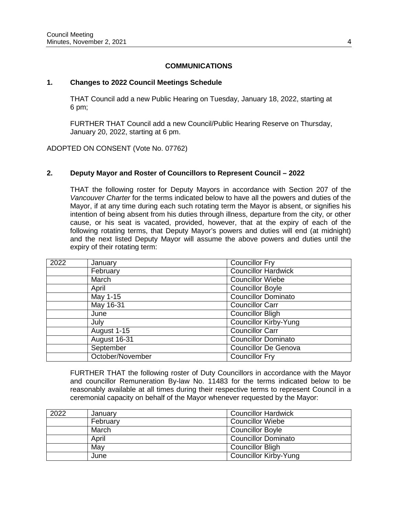#### **COMMUNICATIONS**

#### **1. Changes to 2022 Council Meetings Schedule**

THAT Council add a new Public Hearing on Tuesday, January 18, 2022, starting at 6 pm;

FURTHER THAT Council add a new Council/Public Hearing Reserve on Thursday, January 20, 2022, starting at 6 pm.

ADOPTED ON CONSENT (Vote No. 07762)

### **2. Deputy Mayor and Roster of Councillors to Represent Council – 2022**

THAT the following roster for Deputy Mayors in accordance with Section 207 of the *Vancouver Charter* for the terms indicated below to have all the powers and duties of the Mayor, if at any time during each such rotating term the Mayor is absent, or signifies his intention of being absent from his duties through illness, departure from the city, or other cause, or his seat is vacated, provided, however, that at the expiry of each of the following rotating terms, that Deputy Mayor's powers and duties will end (at midnight) and the next listed Deputy Mayor will assume the above powers and duties until the expiry of their rotating term:

| 2022 | January          | <b>Councillor Fry</b>        |
|------|------------------|------------------------------|
|      | February         | <b>Councillor Hardwick</b>   |
|      | March            | Councillor Wiebe             |
|      | April            | Councillor Boyle             |
|      | May 1-15         | <b>Councillor Dominato</b>   |
|      | May 16-31        | <b>Councillor Carr</b>       |
|      | June             | Councillor Bligh             |
|      | July             | <b>Councillor Kirby-Yung</b> |
|      | August 1-15      | Councillor Carr              |
|      | August 16-31     | <b>Councillor Dominato</b>   |
|      | September        | <b>Councillor De Genova</b>  |
|      | October/November | <b>Councillor Fry</b>        |

FURTHER THAT the following roster of Duty Councillors in accordance with the Mayor and councillor Remuneration By-law No. 11483 for the terms indicated below to be reasonably available at all times during their respective terms to represent Council in a ceremonial capacity on behalf of the Mayor whenever requested by the Mayor:

| 2022 | January  | <b>Councillor Hardwick</b>   |
|------|----------|------------------------------|
|      | February | <b>Councillor Wiebe</b>      |
|      | March    | <b>Councillor Boyle</b>      |
|      | April    | <b>Councillor Dominato</b>   |
|      | May      | <b>Councillor Bligh</b>      |
|      | June     | <b>Councillor Kirby-Yung</b> |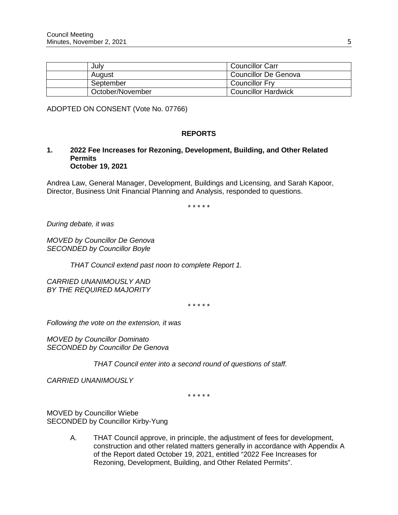| Julv             | <b>Councillor Carr</b>     |
|------------------|----------------------------|
| August           | Councillor De Genova       |
| September        | <b>Councillor Fry</b>      |
| October/November | <b>Councillor Hardwick</b> |

ADOPTED ON CONSENT (Vote No. 07766)

# **REPORTS**

#### **1. 2022 Fee Increases for Rezoning, Development, Building, and Other Related Permits October 19, 2021**

Andrea Law, General Manager, Development, Buildings and Licensing, and Sarah Kapoor, Director, Business Unit Financial Planning and Analysis, responded to questions.

\* \* \* \* \*

*During debate, it was*

*MOVED by Councillor De Genova SECONDED by Councillor Boyle*

*THAT Council extend past noon to complete Report 1.*

*CARRIED UNANIMOUSLY AND BY THE REQUIRED MAJORITY*

\* \* \* \* \*

*Following the vote on the extension, it was*

*MOVED by Councillor Dominato SECONDED by Councillor De Genova*

 *THAT Council enter into a second round of questions of staff.*

*CARRIED UNANIMOUSLY*

\* \* \* \* \*

MOVED by Councillor Wiebe SECONDED by Councillor Kirby-Yung

> A. THAT Council approve, in principle, the adjustment of fees for development, construction and other related matters generally in accordance with Appendix A of the Report dated October 19, 2021, entitled "2022 Fee Increases for Rezoning, Development, Building, and Other Related Permits".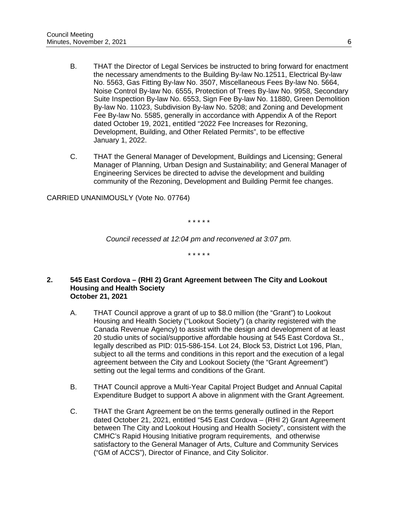- B. THAT the Director of Legal Services be instructed to bring forward for enactment the necessary amendments to the Building By-law No.12511, Electrical By-law No. 5563, Gas Fitting By-law No. 3507, Miscellaneous Fees By-law No. 5664, Noise Control By-law No. 6555, Protection of Trees By-law No. 9958, Secondary Suite Inspection By-law No. 6553, Sign Fee By-law No. 11880, Green Demolition By-law No. 11023, Subdivision By-law No. 5208; and Zoning and Development Fee By-law No. 5585, generally in accordance with Appendix A of the Report dated October 19, 2021, entitled "2022 Fee Increases for Rezoning, Development, Building, and Other Related Permits", to be effective January 1, 2022.
- C. THAT the General Manager of Development, Buildings and Licensing; General Manager of Planning, Urban Design and Sustainability; and General Manager of Engineering Services be directed to advise the development and building community of the Rezoning, Development and Building Permit fee changes.

CARRIED UNANIMOUSLY (Vote No. 07764)

\* \* \* \* \*

*Council recessed at 12:04 pm and reconvened at 3:07 pm.*

\* \* \* \* \*

- **2. 545 East Cordova (RHI 2) Grant Agreement between The City and Lookout Housing and Health Society October 21, 2021**
	- A. THAT Council approve a grant of up to \$8.0 million (the "Grant") to Lookout Housing and Health Society ("Lookout Society") (a charity registered with the Canada Revenue Agency) to assist with the design and development of at least 20 studio units of social/supportive affordable housing at 545 East Cordova St., legally described as PID: 015-586-154. Lot 24, Block 53, District Lot 196, Plan, subject to all the terms and conditions in this report and the execution of a legal agreement between the City and Lookout Society (the "Grant Agreement") setting out the legal terms and conditions of the Grant.
	- B. THAT Council approve a Multi-Year Capital Project Budget and Annual Capital Expenditure Budget to support A above in alignment with the Grant Agreement.
	- C. THAT the Grant Agreement be on the terms generally outlined in the Report dated October 21, 2021, entitled "545 East Cordova – (RHI 2) Grant Agreement between The City and Lookout Housing and Health Society", consistent with the CMHC's Rapid Housing Initiative program requirements, and otherwise satisfactory to the General Manager of Arts, Culture and Community Services ("GM of ACCS"), Director of Finance, and City Solicitor.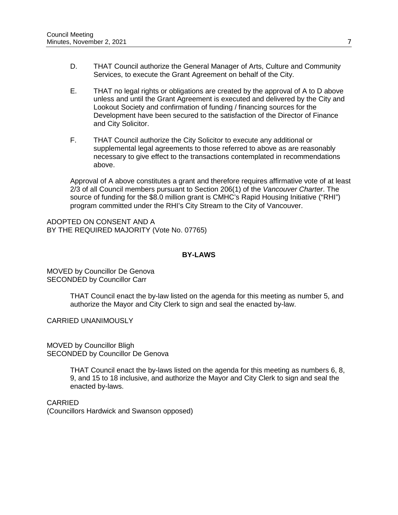- D. THAT Council authorize the General Manager of Arts, Culture and Community Services, to execute the Grant Agreement on behalf of the City.
- E. THAT no legal rights or obligations are created by the approval of A to D above unless and until the Grant Agreement is executed and delivered by the City and Lookout Society and confirmation of funding / financing sources for the Development have been secured to the satisfaction of the Director of Finance and City Solicitor.
- F. THAT Council authorize the City Solicitor to execute any additional or supplemental legal agreements to those referred to above as are reasonably necessary to give effect to the transactions contemplated in recommendations above.

Approval of A above constitutes a grant and therefore requires affirmative vote of at least 2/3 of all Council members pursuant to Section 206(1) of the *Vancouver Charter*. The source of funding for the \$8.0 million grant is CMHC's Rapid Housing Initiative ("RHI") program committed under the RHI's City Stream to the City of Vancouver.

ADOPTED ON CONSENT AND A BY THE REQUIRED MAJORITY (Vote No. 07765)

# **BY-LAWS**

MOVED by Councillor De Genova SECONDED by Councillor Carr

> THAT Council enact the by-law listed on the agenda for this meeting as number 5, and authorize the Mayor and City Clerk to sign and seal the enacted by-law.

CARRIED UNANIMOUSLY

MOVED by Councillor Bligh SECONDED by Councillor De Genova

> THAT Council enact the by-laws listed on the agenda for this meeting as numbers 6, 8, 9, and 15 to 18 inclusive, and authorize the Mayor and City Clerk to sign and seal the enacted by-laws.

CARRIED (Councillors Hardwick and Swanson opposed)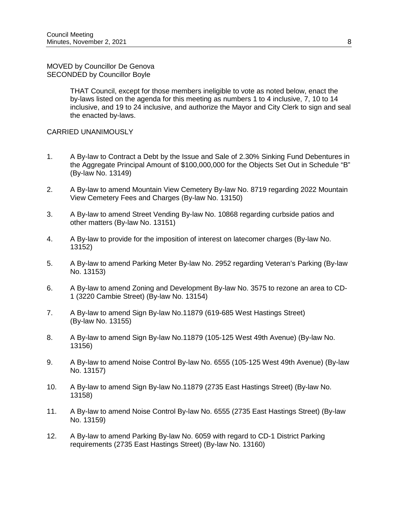#### MOVED by Councillor De Genova SECONDED by Councillor Boyle

THAT Council, except for those members ineligible to vote as noted below, enact the by-laws listed on the agenda for this meeting as numbers 1 to 4 inclusive, 7, 10 to 14 inclusive, and 19 to 24 inclusive, and authorize the Mayor and City Clerk to sign and seal the enacted by-laws.

# CARRIED UNANIMOUSLY

- 1. A By-law to Contract a Debt by the Issue and Sale of 2.30% Sinking Fund Debentures in the Aggregate Principal Amount of \$100,000,000 for the Objects Set Out in Schedule "B" (By-law No. 13149)
- 2. A By-law to amend Mountain View Cemetery By-law No. 8719 regarding 2022 Mountain View Cemetery Fees and Charges (By-law No. 13150)
- 3. A By-law to amend Street Vending By-law No. 10868 regarding curbside patios and other matters (By-law No. 13151)
- 4. A By-law to provide for the imposition of interest on latecomer charges (By-law No. 13152)
- 5. A By-law to amend Parking Meter By-law No. 2952 regarding Veteran's Parking (By-law No. 13153)
- 6. A By-law to amend Zoning and Development By-law No. 3575 to rezone an area to CD-1 (3220 Cambie Street) (By-law No. 13154)
- 7. A By-law to amend Sign By-law No.11879 (619-685 West Hastings Street) (By-law No. 13155)
- 8. A By-law to amend Sign By-law No.11879 (105-125 West 49th Avenue) (By-law No. 13156)
- 9. A By-law to amend Noise Control By-law No. 6555 (105-125 West 49th Avenue) (By-law No. 13157)
- 10. A By-law to amend Sign By-law No.11879 (2735 East Hastings Street) (By-law No. 13158)
- 11. A By-law to amend Noise Control By-law No. 6555 (2735 East Hastings Street) (By-law No. 13159)
- 12. A By-law to amend Parking By-law No. 6059 with regard to CD-1 District Parking requirements (2735 East Hastings Street) (By-law No. 13160)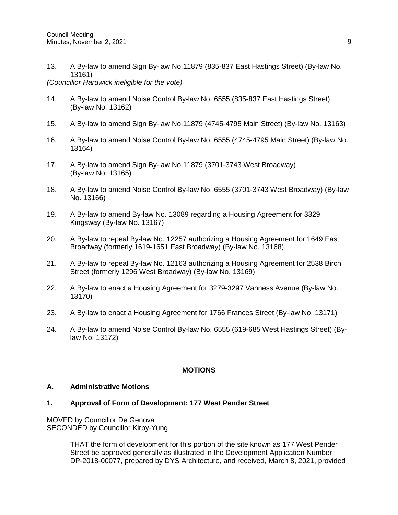13. A By-law to amend Sign By-law No.11879 (835-837 East Hastings Street) (By-law No. 13161)

#### *(Councillor Hardwick ineligible for the vote)*

- 14. A By-law to amend Noise Control By-law No. 6555 (835-837 East Hastings Street) (By-law No. 13162)
- 15. A By-law to amend Sign By-law No.11879 (4745-4795 Main Street) (By-law No. 13163)
- 16. A By-law to amend Noise Control By-law No. 6555 (4745-4795 Main Street) (By-law No. 13164)
- 17. A By-law to amend Sign By-law No.11879 (3701-3743 West Broadway) (By-law No. 13165)
- 18. A By-law to amend Noise Control By-law No. 6555 (3701-3743 West Broadway) (By-law No. 13166)
- 19. A By-law to amend By-law No. 13089 regarding a Housing Agreement for 3329 Kingsway (By-law No. 13167)
- 20. A By-law to repeal By-law No. 12257 authorizing a Housing Agreement for 1649 East Broadway (formerly 1619-1651 East Broadway) (By-law No. 13168)
- 21. A By-law to repeal By-law No. 12163 authorizing a Housing Agreement for 2538 Birch Street (formerly 1296 West Broadway) (By-law No. 13169)
- 22. A By-law to enact a Housing Agreement for 3279-3297 Vanness Avenue (By-law No. 13170)
- 23. A By-law to enact a Housing Agreement for 1766 Frances Street (By-law No. 13171)
- 24. A By-law to amend Noise Control By-law No. 6555 (619-685 West Hastings Street) (Bylaw No. 13172)

# **MOTIONS**

# **A. Administrative Motions**

#### **1. Approval of Form of Development: 177 West Pender Street**

MOVED by Councillor De Genova SECONDED by Councillor Kirby-Yung

> THAT the form of development for this portion of the site known as 177 West Pender Street be approved generally as illustrated in the Development Application Number DP-2018-00077, prepared by DYS Architecture, and received, March 8, 2021, provided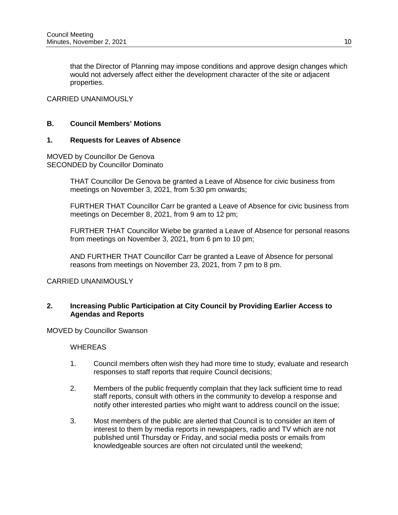that the Director of Planning may impose conditions and approve design changes which would not adversely affect either the development character of the site or adjacent properties.

### CARRIED UNANIMOUSLY

### **B. Council Members' Motions**

#### **1. Requests for Leaves of Absence**

MOVED by Councillor De Genova SECONDED by Councillor Dominato

> THAT Councillor De Genova be granted a Leave of Absence for civic business from meetings on November 3, 2021, from 5:30 pm onwards;

FURTHER THAT Councillor Carr be granted a Leave of Absence for civic business from meetings on December 8, 2021, from 9 am to 12 pm;

FURTHER THAT Councillor Wiebe be granted a Leave of Absence for personal reasons from meetings on November 3, 2021, from 6 pm to 10 pm;

AND FURTHER THAT Councillor Carr be granted a Leave of Absence for personal reasons from meetings on November 23, 2021, from 7 pm to 8 pm.

CARRIED UNANIMOUSLY

#### **2. Increasing Public Participation at City Council by Providing Earlier Access to Agendas and Reports**

MOVED by Councillor Swanson

WHEREAS

- 1. Council members often wish they had more time to study, evaluate and research responses to staff reports that require Council decisions;
- 2. Members of the public frequently complain that they lack sufficient time to read staff reports, consult with others in the community to develop a response and notify other interested parties who might want to address council on the issue;
- 3. Most members of the public are alerted that Council is to consider an item of interest to them by media reports in newspapers, radio and TV which are not published until Thursday or Friday, and social media posts or emails from knowledgeable sources are often not circulated until the weekend;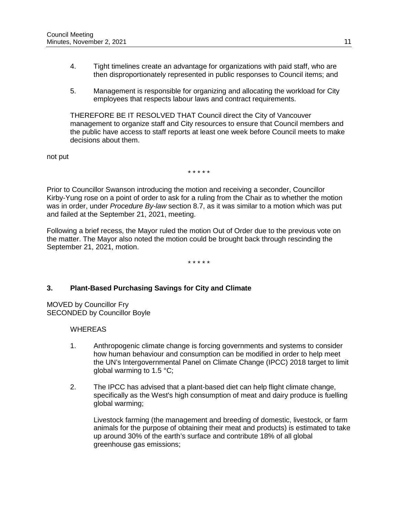- 4. Tight timelines create an advantage for organizations with paid staff, who are then disproportionately represented in public responses to Council items; and
- 5. Management is responsible for organizing and allocating the workload for City employees that respects labour laws and contract requirements.

THEREFORE BE IT RESOLVED THAT Council direct the City of Vancouver management to organize staff and City resources to ensure that Council members and the public have access to staff reports at least one week before Council meets to make decisions about them.

not put

\* \* \* \* \*

Prior to Councillor Swanson introducing the motion and receiving a seconder, Councillor Kirby-Yung rose on a point of order to ask for a ruling from the Chair as to whether the motion was in order, under *Procedure By-law* section 8.7, as it was similar to a motion which was put and failed at the September 21, 2021, meeting.

Following a brief recess, the Mayor ruled the motion Out of Order due to the previous vote on the matter. The Mayor also noted the motion could be brought back through rescinding the September 21, 2021, motion.

\* \* \* \* \*

# **3. Plant-Based Purchasing Savings for City and Climate**

MOVED by Councillor Fry SECONDED by Councillor Boyle

WHEREAS

- 1. Anthropogenic climate change is forcing governments and systems to consider how human behaviour and consumption can be modified in order to help meet the UN's Intergovernmental Panel on Climate Change (IPCC) 2018 target to limit global warming to 1.5 °C;
- 2. The IPCC has advised that a plant-based diet can help flight climate change, specifically as the West's high consumption of meat and dairy produce is fuelling global warming;

Livestock farming (the management and breeding of domestic, livestock, or farm animals for the purpose of obtaining their meat and products) is estimated to take up around 30% of the earth's surface and contribute 18% of all global greenhouse gas emissions;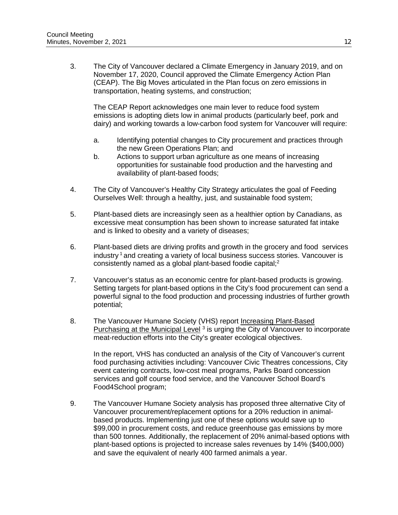3. The City of Vancouver declared a Climate Emergency in January 2019, and on November 17, 2020, Council approved the Climate Emergency Action Plan (CEAP). The Big Moves articulated in the Plan focus on zero emissions in transportation, heating systems, and construction;

The CEAP Report acknowledges one main lever to reduce food system emissions is adopting diets low in animal products (particularly beef, pork and dairy) and working towards a low-carbon food system for Vancouver will require:

- a. Identifying potential changes to City procurement and practices through the new Green Operations Plan; and
- b. Actions to support urban agriculture as one means of increasing opportunities for sustainable food production and the harvesting and availability of plant-based foods;
- 4. The City of Vancouver's Healthy City Strategy articulates the goal of Feeding Ourselves Well: through a healthy, just, and sustainable food system;
- 5. Plant-based diets are increasingly seen as a healthier option by Canadians, as excessive meat consumption has been shown to increase saturated fat intake and is linked to obesity and a variety of diseases;
- 6. Plant-based diets are driving profits and growth in the grocery and food services industry  $1$  and creating a variety of local business success stories. Vancouver is consistently named as a global plant-based foodie capital; 2
- 7. Vancouver's status as an economic centre for plant-based products is growing. Setting targets for plant-based options in the City's food procurement can send a powerful signal to the food production and processing industries of further growth potential;
- 8. The Vancouver Humane Society (VHS) report Increasing Plant-Based Purchasing at the Municipal Level<sup>3</sup> is urging the City of Vancouver to incorporate meat-reduction efforts into the City's greater ecological objectives.

In the report, VHS has conducted an analysis of the City of Vancouver's current food purchasing activities including: Vancouver Civic Theatres concessions, City event catering contracts, low-cost meal programs, Parks Board concession services and golf course food service, and the Vancouver School Board's Food4School program;

9. The Vancouver Humane Society analysis has proposed three alternative City of Vancouver procurement/replacement options for a 20% reduction in animalbased products. Implementing just one of these options would save up to \$99,000 in procurement costs, and reduce greenhouse gas emissions by more than 500 tonnes. Additionally, the replacement of 20% animal-based options with plant-based options is projected to increase sales revenues by 14% (\$400,000) and save the equivalent of nearly 400 farmed animals a year.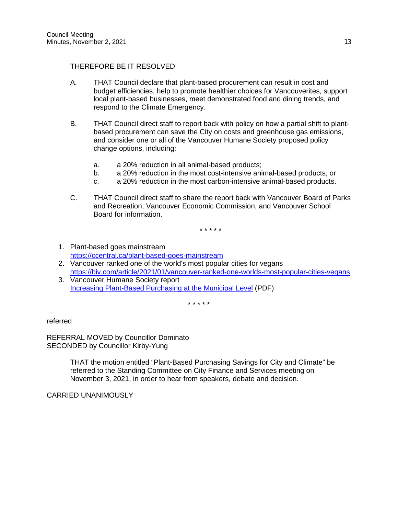# THEREFORE BE IT RESOLVED

- A. THAT Council declare that plant-based procurement can result in cost and budget efficiencies, help to promote healthier choices for Vancouverites, support local plant-based businesses, meet demonstrated food and dining trends, and respond to the Climate Emergency.
- B. THAT Council direct staff to report back with policy on how a partial shift to plantbased procurement can save the City on costs and greenhouse gas emissions, and consider one or all of the Vancouver Humane Society proposed policy change options, including:
	- a. a 20% reduction in all animal-based products;
	- b. a 20% reduction in the most cost-intensive animal-based products; or
	- c. a 20% reduction in the most carbon-intensive animal-based products.
- C. THAT Council direct staff to share the report back with Vancouver Board of Parks and Recreation, Vancouver Economic Commission, and Vancouver School Board for information.

\* \* \* \* \*

- 1. Plant-based goes mainstream <https://ccentral.ca/plant-based-goes-mainstream>
- 2. Vancouver ranked one of the world's most popular cities for vegans <https://biv.com/article/2021/01/vancouver-ranked-one-worlds-most-popular-cities-vegans>
- 3. Vancouver Humane Society report [Increasing Plant-Based Purchasing at the Municipal Level](https://vancouverhumanesociety.bc.ca/wp-content/uploads/2020/05/VHSCostBenefitAnalysis_Vancouver_June22.pdf) (PDF)

\* \* \* \* \*

referred

REFERRAL MOVED by Councillor Dominato SECONDED by Councillor Kirby-Yung

> THAT the motion entitled "Plant-Based Purchasing Savings for City and Climate" be referred to the Standing Committee on City Finance and Services meeting on November 3, 2021, in order to hear from speakers, debate and decision.

CARRIED UNANIMOUSLY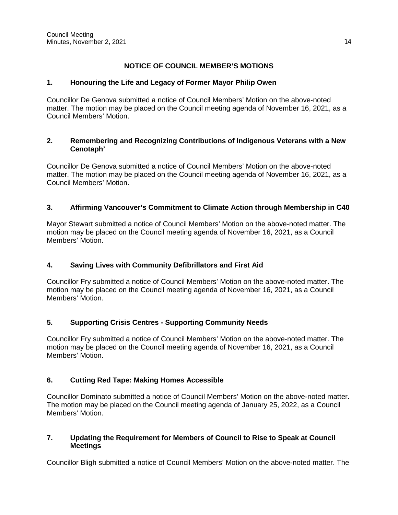# **NOTICE OF COUNCIL MEMBER'S MOTIONS**

# **1. Honouring the Life and Legacy of Former Mayor Philip Owen**

Councillor De Genova submitted a notice of Council Members' Motion on the above-noted matter. The motion may be placed on the Council meeting agenda of November 16, 2021, as a Council Members' Motion.

# **2. Remembering and Recognizing Contributions of Indigenous Veterans with a New Cenotaph'**

Councillor De Genova submitted a notice of Council Members' Motion on the above-noted matter. The motion may be placed on the Council meeting agenda of November 16, 2021, as a Council Members' Motion.

# **3. Affirming Vancouver's Commitment to Climate Action through Membership in C40**

Mayor Stewart submitted a notice of Council Members' Motion on the above-noted matter. The motion may be placed on the Council meeting agenda of November 16, 2021, as a Council Members' Motion.

# **4. Saving Lives with Community Defibrillators and First Aid**

Councillor Fry submitted a notice of Council Members' Motion on the above-noted matter. The motion may be placed on the Council meeting agenda of November 16, 2021, as a Council Members' Motion.

# **5. Supporting Crisis Centres - Supporting Community Needs**

Councillor Fry submitted a notice of Council Members' Motion on the above-noted matter. The motion may be placed on the Council meeting agenda of November 16, 2021, as a Council Members' Motion.

# **6. Cutting Red Tape: Making Homes Accessible**

Councillor Dominato submitted a notice of Council Members' Motion on the above-noted matter. The motion may be placed on the Council meeting agenda of January 25, 2022, as a Council Members' Motion.

# **7. Updating the Requirement for Members of Council to Rise to Speak at Council Meetings**

Councillor Bligh submitted a notice of Council Members' Motion on the above-noted matter. The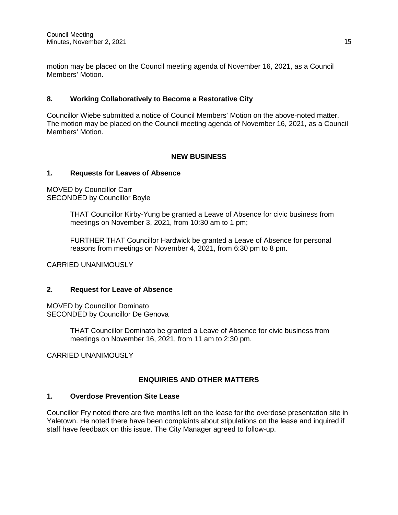motion may be placed on the Council meeting agenda of November 16, 2021, as a Council Members' Motion.

# **8. Working Collaboratively to Become a Restorative City**

Councillor Wiebe submitted a notice of Council Members' Motion on the above-noted matter. The motion may be placed on the Council meeting agenda of November 16, 2021, as a Council Members' Motion.

#### **NEW BUSINESS**

#### **1. Requests for Leaves of Absence**

MOVED by Councillor Carr SECONDED by Councillor Boyle

> THAT Councillor Kirby-Yung be granted a Leave of Absence for civic business from meetings on November 3, 2021, from 10:30 am to 1 pm;

FURTHER THAT Councillor Hardwick be granted a Leave of Absence for personal reasons from meetings on November 4, 2021, from 6:30 pm to 8 pm.

CARRIED UNANIMOUSLY

### **2. Request for Leave of Absence**

MOVED by Councillor Dominato SECONDED by Councillor De Genova

> THAT Councillor Dominato be granted a Leave of Absence for civic business from meetings on November 16, 2021, from 11 am to 2:30 pm.

CARRIED UNANIMOUSLY

# **ENQUIRIES AND OTHER MATTERS**

#### **1. Overdose Prevention Site Lease**

Councillor Fry noted there are five months left on the lease for the overdose presentation site in Yaletown. He noted there have been complaints about stipulations on the lease and inquired if staff have feedback on this issue. The City Manager agreed to follow-up.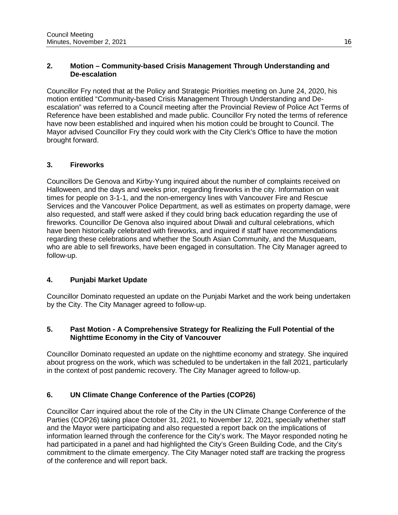# **2. Motion – Community-based Crisis Management Through Understanding and De-escalation**

Councillor Fry noted that at the Policy and Strategic Priorities meeting on June 24, 2020, his motion entitled "Community-based Crisis Management Through Understanding and Deescalation" was referred to a Council meeting after the Provincial Review of Police Act Terms of Reference have been established and made public. Councillor Fry noted the terms of reference have now been established and inquired when his motion could be brought to Council. The Mayor advised Councillor Fry they could work with the City Clerk's Office to have the motion brought forward.

# **3. Fireworks**

Councillors De Genova and Kirby-Yung inquired about the number of complaints received on Halloween, and the days and weeks prior, regarding fireworks in the city. Information on wait times for people on 3-1-1, and the non-emergency lines with Vancouver Fire and Rescue Services and the Vancouver Police Department, as well as estimates on property damage, were also requested, and staff were asked if they could bring back education regarding the use of fireworks. Councillor De Genova also inquired about Diwali and cultural celebrations, which have been historically celebrated with fireworks, and inquired if staff have recommendations regarding these celebrations and whether the South Asian Community, and the Musqueam, who are able to sell fireworks, have been engaged in consultation. The City Manager agreed to follow-up.

# **4. Punjabi Market Update**

Councillor Dominato requested an update on the Punjabi Market and the work being undertaken by the City. The City Manager agreed to follow-up.

# **5. Past Motion - A Comprehensive Strategy for Realizing the Full Potential of the Nighttime Economy in the City of Vancouver**

Councillor Dominato requested an update on the nighttime economy and strategy. She inquired about progress on the work, which was scheduled to be undertaken in the fall 2021, particularly in the context of post pandemic recovery. The City Manager agreed to follow-up.

# **6. UN Climate Change Conference of the Parties (COP26)**

Councillor Carr inquired about the role of the City in the UN Climate Change Conference of the Parties (COP26) taking place October 31, 2021, to November 12, 2021, specially whether staff and the Mayor were participating and also requested a report back on the implications of information learned through the conference for the City's work. The Mayor responded noting he had participated in a panel and had highlighted the City's Green Building Code, and the City's commitment to the climate emergency. The City Manager noted staff are tracking the progress of the conference and will report back.